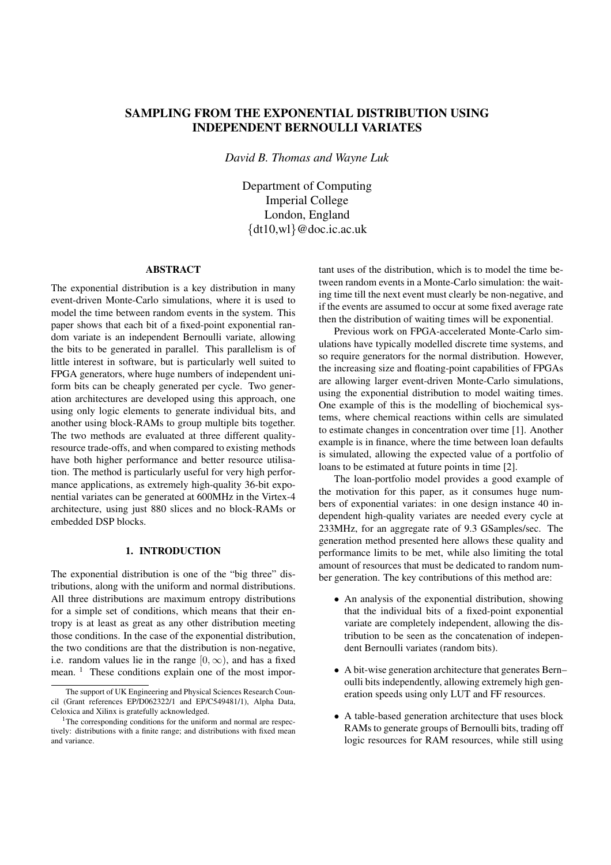# **SAMPLING FROM THE EXPONENTIAL DISTRIBUTION USING INDEPENDENT BERNOULLI VARIATES**

*David B. Thomas and Wayne Luk*

Department of Computing Imperial College London, England  $\{dt10,w1\}$ @doc.ic.ac.uk

## **ABSTRACT**

The exponential distribution is a key distribution in many event-driven Monte-Carlo simulations, where it is used to model the time between random events in the system. This paper shows that each bit of a fixed-point exponential random variate is an independent Bernoulli variate, allowing the bits to be generated in parallel. This parallelism is of little interest in software, but is particularly well suited to FPGA generators, where huge numbers of independent uniform bits can be cheaply generated per cycle. Two generation architectures are developed using this approach, one using only logic elements to generate individual bits, and another using block-RAMs to group multiple bits together. The two methods are evaluated at three different qualityresource trade-offs, and when compared to existing methods have both higher performance and better resource utilisation. The method is particularly useful for very high performance applications, as extremely high-quality 36-bit exponential variates can be generated at 600MHz in the Virtex-4 architecture, using just 880 slices and no block-RAMs or embedded DSP blocks.

#### **1. INTRODUCTION**

The exponential distribution is one of the "big three" distributions, along with the uniform and normal distributions. All three distributions are maximum entropy distributions for a simple set of conditions, which means that their entropy is at least as great as any other distribution meeting those conditions. In the case of the exponential distribution, the two conditions are that the distribution is non-negative, i.e. random values lie in the range  $[0, \infty)$ , and has a fixed mean. <sup>1</sup> These conditions explain one of the most important uses of the distribution, which is to model the time between random events in a Monte-Carlo simulation: the waiting time till the next event must clearly be non-negative, and if the events are assumed to occur at some fixed average rate then the distribution of waiting times will be exponential.

Previous work on FPGA-accelerated Monte-Carlo simulations have typically modelled discrete time systems, and so require generators for the normal distribution. However, the increasing size and floating-point capabilities of FPGAs are allowing larger event-driven Monte-Carlo simulations, using the exponential distribution to model waiting times. One example of this is the modelling of biochemical systems, where chemical reactions within cells are simulated to estimate changes in concentration over time [1]. Another example is in finance, where the time between loan defaults is simulated, allowing the expected value of a portfolio of loans to be estimated at future points in time [2].

The loan-portfolio model provides a good example of the motivation for this paper, as it consumes huge numbers of exponential variates: in one design instance 40 independent high-quality variates are needed every cycle at 233MHz, for an aggregate rate of 9.3 GSamples/sec. The generation method presented here allows these quality and performance limits to be met, while also limiting the total amount of resources that must be dedicated to random number generation. The key contributions of this method are:

- An analysis of the exponential distribution, showing that the individual bits of a fixed-point exponential variate are completely independent, allowing the distribution to be seen as the concatenation of independent Bernoulli variates (random bits).
- A bit-wise generation architecture that generates Bern– oulli bits independently, allowing extremely high generation speeds using only LUT and FF resources.
- A table-based generation architecture that uses block RAMs to generate groups of Bernoulli bits, trading off logic resources for RAM resources, while still using

The support of UK Engineering and Physical Sciences Research Council (Grant references EP/D062322/1 and EP/C549481/1), Alpha Data, Celoxica and Xilinx is gratefully acknowledged.

 $1$ The corresponding conditions for the uniform and normal are respectively: distributions with a finite range; and distributions with fixed mean and variance.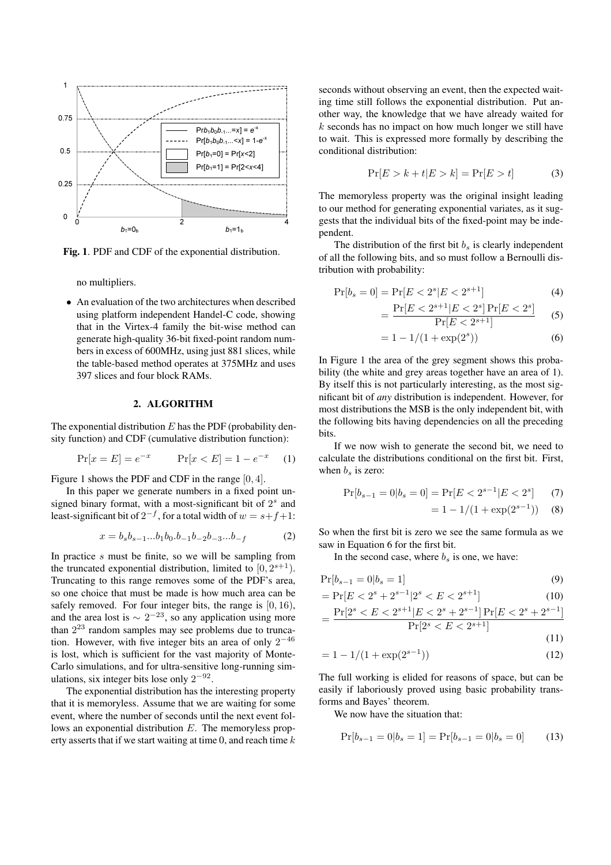

**Fig. 1**. PDF and CDF of the exponential distribution.

no multipliers.

• An evaluation of the two architectures when described using platform independent Handel-C code, showing that in the Virtex-4 family the bit-wise method can generate high-quality 36-bit fixed-point random numbers in excess of 600MHz, using just 881 slices, while the table-based method operates at 375MHz and uses 397 slices and four block RAMs.

# **2. ALGORITHM**

The exponential distribution  $E$  has the PDF (probability density function) and CDF (cumulative distribution function):

$$
Pr[x = E] = e^{-x} \qquad Pr[x < E] = 1 - e^{-x} \qquad (1)
$$

Figure 1 shows the PDF and CDF in the range [0, 4].

In this paper we generate numbers in a fixed point unsigned binary format, with a most-significant bit of  $2<sup>s</sup>$  and least-significant bit of  $2^{-f}$ , for a total width of  $w = s + f + 1$ :

$$
x = b_s b_{s-1} \dots b_1 b_0 \dots b_{-1} b_{-2} b_{-3} \dots b_{-f} \tag{2}
$$

In practice  $s$  must be finite, so we will be sampling from the truncated exponential distribution, limited to  $[0, 2^{s+1})$ . Truncating to this range removes some of the PDF's area, so one choice that must be made is how much area can be safely removed. For four integer bits, the range is  $[0, 16)$ , and the area lost is  $\sim 2^{-23}$ , so any application using more than  $2^{23}$  random samples may see problems due to truncation. However, with five integer bits an area of only  $2^{-46}$ is lost, which is sufficient for the vast majority of Monte-Carlo simulations, and for ultra-sensitive long-running simulations, six integer bits lose only  $2^{-92}$ .

The exponential distribution has the interesting property that it is memoryless. Assume that we are waiting for some event, where the number of seconds until the next event follows an exponential distribution E. The memoryless property asserts that if we start waiting at time 0, and reach time  $k$  seconds without observing an event, then the expected waiting time still follows the exponential distribution. Put another way, the knowledge that we have already waited for k seconds has no impact on how much longer we still have to wait. This is expressed more formally by describing the conditional distribution:

$$
\Pr[E > k + t | E > k] = \Pr[E > t] \tag{3}
$$

The memoryless property was the original insight leading to our method for generating exponential variates, as it suggests that the individual bits of the fixed-point may be independent.

The distribution of the first bit  $b_s$  is clearly independent of all the following bits, and so must follow a Bernoulli distribution with probability:

$$
\Pr[b_s = 0] = \Pr[E < 2^s | E < 2^{s+1}] \tag{4}
$$

$$
= \frac{\Pr[E < 2^{s+1} | E < 2^s] \Pr[E < 2^s]}{\Pr[E < 2^{s+1}]} \tag{5}
$$

$$
= 1 - 1/(1 + \exp(2^s))
$$
 (6)

In Figure 1 the area of the grey segment shows this probability (the white and grey areas together have an area of 1). By itself this is not particularly interesting, as the most significant bit of *any* distribution is independent. However, for most distributions the MSB is the only independent bit, with the following bits having dependencies on all the preceding bits.

If we now wish to generate the second bit, we need to calculate the distributions conditional on the first bit. First, when  $b_s$  is zero:

$$
\Pr[b_{s-1} = 0 | b_s = 0] = \Pr[E < 2^{s-1} | E < 2^s] \tag{7}
$$
\n
$$
= 1 - 1/(1 + \exp(2^{s-1})) \tag{8}
$$

So when the first bit is zero we see the same formula as we saw in Equation 6 for the first bit.

In the second case, where  $b_s$  is one, we have:

$$
\Pr[b_{s-1} = 0 | b_s = 1] \tag{9}
$$

$$
= \Pr[E < 2^s + 2^{s-1}|2^s < E < 2^{s+1}] \tag{10}
$$

$$
=\frac{\Pr[2^s
$$

$$
- (11)
$$

$$
= 1 - 1/(1 + \exp(2^{s-1}))
$$
 (12)

The full working is elided for reasons of space, but can be easily if laboriously proved using basic probability transforms and Bayes' theorem.

We now have the situation that:

$$
Pr[b_{s-1} = 0 | b_s = 1] = Pr[b_{s-1} = 0 | b_s = 0]
$$
 (13)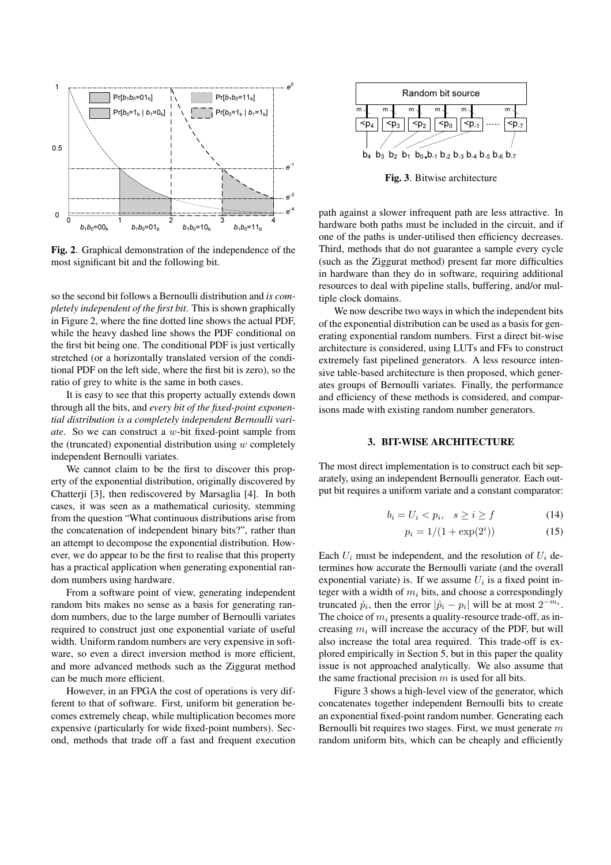

**Fig. 2**. Graphical demonstration of the independence of the most significant bit and the following bit.

so the second bit follows a Bernoulli distribution and *is completely independent of the first bit*. This is shown graphically in Figure 2, where the fine dotted line shows the actual PDF, while the heavy dashed line shows the PDF conditional on the first bit being one. The conditional PDF is just vertically stretched (or a horizontally translated version of the conditional PDF on the left side, where the first bit is zero), so the ratio of grey to white is the same in both cases.

It is easy to see that this property actually extends down through all the bits, and *every bit of the fixed-point exponential distribution is a completely independent Bernoulli variate*. So we can construct a w-bit fixed-point sample from the (truncated) exponential distribution using  $w$  completely independent Bernoulli variates.

We cannot claim to be the first to discover this property of the exponential distribution, originally discovered by Chatterji [3], then rediscovered by Marsaglia [4]. In both cases, it was seen as a mathematical curiosity, stemming from the question "What continuous distributions arise from the concatenation of independent binary bits?", rather than an attempt to decompose the exponential distribution. However, we do appear to be the first to realise that this property has a practical application when generating exponential random numbers using hardware.

From a software point of view, generating independent random bits makes no sense as a basis for generating random numbers, due to the large number of Bernoulli variates required to construct just one exponential variate of useful width. Uniform random numbers are very expensive in software, so even a direct inversion method is more efficient, and more advanced methods such as the Ziggurat method can be much more efficient.

However, in an FPGA the cost of operations is very different to that of software. First, uniform bit generation becomes extremely cheap, while multiplication becomes more expensive (particularly for wide fixed-point numbers). Second, methods that trade off a fast and frequent execution



**Fig. 3**. Bitwise architecture

path against a slower infrequent path are less attractive. In hardware both paths must be included in the circuit, and if one of the paths is under-utilised then efficiency decreases. Third, methods that do not guarantee a sample every cycle (such as the Ziggurat method) present far more difficulties in hardware than they do in software, requiring additional resources to deal with pipeline stalls, buffering, and/or multiple clock domains.

We now describe two ways in which the independent bits of the exponential distribution can be used as a basis for generating exponential random numbers. First a direct bit-wise architecture is considered, using LUTs and FFs to construct extremely fast pipelined generators. A less resource intensive table-based architecture is then proposed, which generates groups of Bernoulli variates. Finally, the performance and efficiency of these methods is considered, and comparisons made with existing random number generators.

#### **3. BIT-WISE ARCHITECTURE**

The most direct implementation is to construct each bit separately, using an independent Bernoulli generator. Each output bit requires a uniform variate and a constant comparator:

$$
b_i = U_i < p_i, \quad s \ge i \ge f \tag{14}
$$

$$
p_i = 1/(1 + \exp(2^i))
$$
 (15)

Each  $U_i$  must be independent, and the resolution of  $U_i$  determines how accurate the Bernoulli variate (and the overall exponential variate) is. If we assume  $U_i$  is a fixed point integer with a width of  $m_i$  bits, and choose a correspondingly truncated  $\hat{p}_i$ , then the error  $|\hat{p}_i - p_i|$  will be at most  $2^{-m_i}$ . The choice of  $m_i$  presents a quality-resource trade-off, as increasing  $m_i$  will increase the accuracy of the PDF, but will also increase the total area required. This trade-off is explored empirically in Section 5, but in this paper the quality issue is not approached analytically. We also assume that the same fractional precision  $m$  is used for all bits.

Figure 3 shows a high-level view of the generator, which concatenates together independent Bernoulli bits to create an exponential fixed-point random number. Generating each Bernoulli bit requires two stages. First, we must generate  $m$ random uniform bits, which can be cheaply and efficiently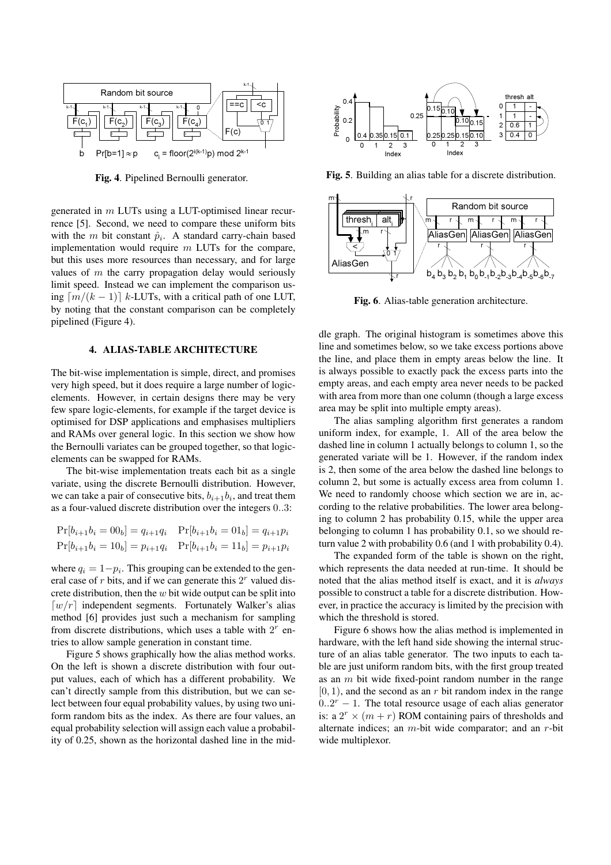

**Fig. 4**. Pipelined Bernoulli generator.

generated in  $m$  LUTs using a LUT-optimised linear recurrence [5]. Second, we need to compare these uniform bits with the *m* bit constant  $\hat{p}_i$ . A standard carry-chain based implementation would require  $m$  LUTs for the compare, but this uses more resources than necessary, and for large values of  $m$  the carry propagation delay would seriously limit speed. Instead we can implement the comparison using  $\lceil m/(k-1) \rceil$  k-LUTs, with a critical path of one LUT, by noting that the constant comparison can be completely pipelined (Figure 4).

# **4. ALIAS-TABLE ARCHITECTURE**

The bit-wise implementation is simple, direct, and promises very high speed, but it does require a large number of logicelements. However, in certain designs there may be very few spare logic-elements, for example if the target device is optimised for DSP applications and emphasises multipliers and RAMs over general logic. In this section we show how the Bernoulli variates can be grouped together, so that logicelements can be swapped for RAMs.

The bit-wise implementation treats each bit as a single variate, using the discrete Bernoulli distribution. However, we can take a pair of consecutive bits,  $b_{i+1}b_i$ , and treat them as a four-valued discrete distribution over the integers 0..3:

| $Pr[b_{i+1}b_i = 00_b] = q_{i+1}q_i$ $Pr[b_{i+1}b_i = 01_b] = q_{i+1}p_i$ |  |
|---------------------------------------------------------------------------|--|
| $Pr[b_{i+1}b_i = 10_b] = p_{i+1}q_i$ $Pr[b_{i+1}b_i = 11_b] = p_{i+1}p_i$ |  |

where  $q_i = 1-p_i$ . This grouping can be extended to the general case of  $r$  bits, and if we can generate this  $2<sup>r</sup>$  valued discrete distribution, then the  $w$  bit wide output can be split into  $\lceil w/r \rceil$  independent segments. Fortunately Walker's alias method [6] provides just such a mechanism for sampling from discrete distributions, which uses a table with  $2<sup>r</sup>$  entries to allow sample generation in constant time.

Figure 5 shows graphically how the alias method works. On the left is shown a discrete distribution with four output values, each of which has a different probability. We can't directly sample from this distribution, but we can select between four equal probability values, by using two uniform random bits as the index. As there are four values, an equal probability selection will assign each value a probability of 0.25, shown as the horizontal dashed line in the mid-



**Fig. 5**. Building an alias table for a discrete distribution.



**Fig. 6**. Alias-table generation architecture.

dle graph. The original histogram is sometimes above this line and sometimes below, so we take excess portions above the line, and place them in empty areas below the line. It is always possible to exactly pack the excess parts into the empty areas, and each empty area never needs to be packed with area from more than one column (though a large excess area may be split into multiple empty areas).

The alias sampling algorithm first generates a random uniform index, for example, 1. All of the area below the dashed line in column 1 actually belongs to column 1, so the generated variate will be 1. However, if the random index is 2, then some of the area below the dashed line belongs to column 2, but some is actually excess area from column 1. We need to randomly choose which section we are in, according to the relative probabilities. The lower area belonging to column 2 has probability 0.15, while the upper area belonging to column 1 has probability 0.1, so we should return value 2 with probability 0.6 (and 1 with probability 0.4).

The expanded form of the table is shown on the right, which represents the data needed at run-time. It should be noted that the alias method itself is exact, and it is *always* possible to construct a table for a discrete distribution. However, in practice the accuracy is limited by the precision with which the threshold is stored.

Figure 6 shows how the alias method is implemented in hardware, with the left hand side showing the internal structure of an alias table generator. The two inputs to each table are just uniform random bits, with the first group treated as an  $m$  bit wide fixed-point random number in the range  $[0, 1)$ , and the second as an r bit random index in the range  $0..2<sup>r</sup> - 1$ . The total resource usage of each alias generator is: a  $2^r \times (m + r)$  ROM containing pairs of thresholds and alternate indices; an m-bit wide comparator; and an r-bit wide multiplexor.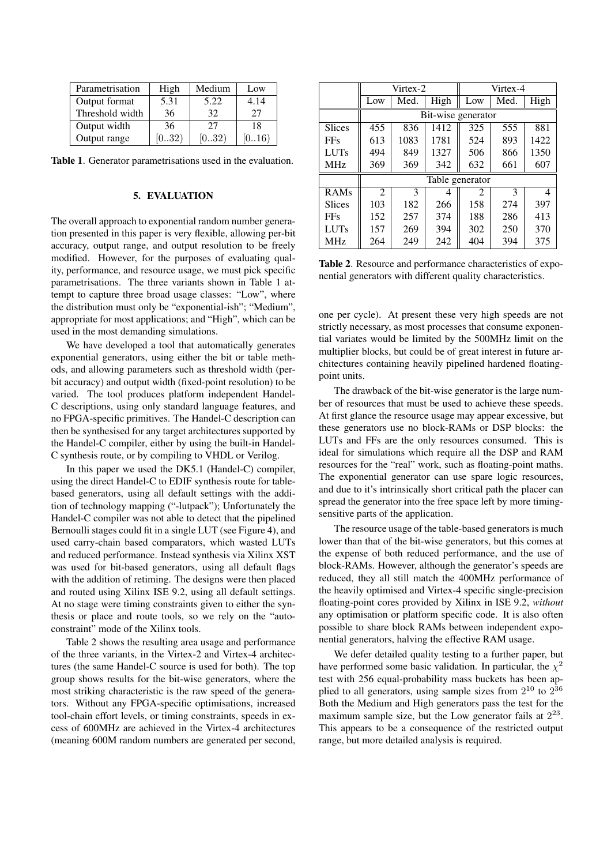| Parametrisation | High  | Medium | Low    |
|-----------------|-------|--------|--------|
| Output format   | 5.31  | 5.22   | 4.14   |
| Threshold width | 36    | 32     | 27     |
| Output width    | 36    | 27     | 18     |
| Output range    | [032) | [032)  | [0=16) |

**Table 1**. Generator parametrisations used in the evaluation.

# **5. EVALUATION**

The overall approach to exponential random number generation presented in this paper is very flexible, allowing per-bit accuracy, output range, and output resolution to be freely modified. However, for the purposes of evaluating quality, performance, and resource usage, we must pick specific parametrisations. The three variants shown in Table 1 attempt to capture three broad usage classes: "Low", where the distribution must only be "exponential-ish"; "Medium", appropriate for most applications; and "High", which can be used in the most demanding simulations.

We have developed a tool that automatically generates exponential generators, using either the bit or table methods, and allowing parameters such as threshold width (perbit accuracy) and output width (fixed-point resolution) to be varied. The tool produces platform independent Handel-C descriptions, using only standard language features, and no FPGA-specific primitives. The Handel-C description can then be synthesised for any target architectures supported by the Handel-C compiler, either by using the built-in Handel-C synthesis route, or by compiling to VHDL or Verilog.

In this paper we used the DK5.1 (Handel-C) compiler, using the direct Handel-C to EDIF synthesis route for tablebased generators, using all default settings with the addition of technology mapping ("-lutpack"); Unfortunately the Handel-C compiler was not able to detect that the pipelined Bernoulli stages could fit in a single LUT (see Figure 4), and used carry-chain based comparators, which wasted LUTs and reduced performance. Instead synthesis via Xilinx XST was used for bit-based generators, using all default flags with the addition of retiming. The designs were then placed and routed using Xilinx ISE 9.2, using all default settings. At no stage were timing constraints given to either the synthesis or place and route tools, so we rely on the "autoconstraint" mode of the Xilinx tools.

Table 2 shows the resulting area usage and performance of the three variants, in the Virtex-2 and Virtex-4 architectures (the same Handel-C source is used for both). The top group shows results for the bit-wise generators, where the most striking characteristic is the raw speed of the generators. Without any FPGA-specific optimisations, increased tool-chain effort levels, or timing constraints, speeds in excess of 600MHz are achieved in the Virtex-4 architectures (meaning 600M random numbers are generated per second,

|                 | Virtex-2           |      | Virtex-4 |     |      |      |
|-----------------|--------------------|------|----------|-----|------|------|
|                 | Low                | Med. | High     | Low | Med. | High |
|                 | Bit-wise generator |      |          |     |      |      |
| <b>Slices</b>   | 455                | 836  | 1412     | 325 | 555  | 881  |
| <b>FFs</b>      | 613                | 1083 | 1781     | 524 | 893  | 1422 |
| <b>LUTs</b>     | 494                | 849  | 1327     | 506 | 866  | 1350 |
| <b>MHz</b>      | 369                | 369  | 342      | 632 | 661  | 607  |
|                 | Table generator    |      |          |     |      |      |
| RAMs            | 2                  | 3    |          | 2   | 3    | 4    |
| <b>Slices</b>   | 103                | 182  | 266      | 158 | 274  | 397  |
| <b>FFs</b>      | 152                | 257  | 374      | 188 | 286  | 413  |
| <b>LUTs</b>     | 157                | 269  | 394      | 302 | 250  | 370  |
| MH <sub>z</sub> | 264                | 249  | 242      | 404 | 394  | 375  |

**Table 2**. Resource and performance characteristics of exponential generators with different quality characteristics.

one per cycle). At present these very high speeds are not strictly necessary, as most processes that consume exponential variates would be limited by the 500MHz limit on the multiplier blocks, but could be of great interest in future architectures containing heavily pipelined hardened floatingpoint units.

The drawback of the bit-wise generator is the large number of resources that must be used to achieve these speeds. At first glance the resource usage may appear excessive, but these generators use no block-RAMs or DSP blocks: the LUTs and FFs are the only resources consumed. This is ideal for simulations which require all the DSP and RAM resources for the "real" work, such as floating-point maths. The exponential generator can use spare logic resources, and due to it's intrinsically short critical path the placer can spread the generator into the free space left by more timingsensitive parts of the application.

The resource usage of the table-based generators is much lower than that of the bit-wise generators, but this comes at the expense of both reduced performance, and the use of block-RAMs. However, although the generator's speeds are reduced, they all still match the 400MHz performance of the heavily optimised and Virtex-4 specific single-precision floating-point cores provided by Xilinx in ISE 9.2, *without* any optimisation or platform specific code. It is also often possible to share block RAMs between independent exponential generators, halving the effective RAM usage.

We defer detailed quality testing to a further paper, but have performed some basic validation. In particular, the  $\chi^2$ test with 256 equal-probability mass buckets has been applied to all generators, using sample sizes from  $2^{10}$  to  $2^{36}$ Both the Medium and High generators pass the test for the maximum sample size, but the Low generator fails at  $2^{23}$ . This appears to be a consequence of the restricted output range, but more detailed analysis is required.